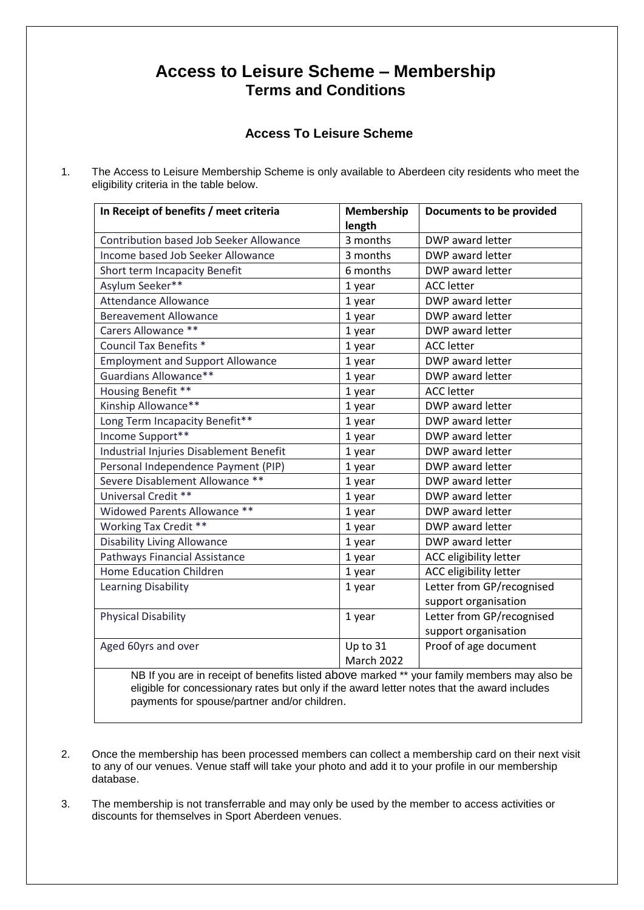## **Access to Leisure Scheme – Membership Terms and Conditions**

## **Access To Leisure Scheme**

1. The Access to Leisure Membership Scheme is only available to Aberdeen city residents who meet the eligibility criteria in the table below.

| In Receipt of benefits / meet criteria                                                      | Membership | Documents to be provided  |
|---------------------------------------------------------------------------------------------|------------|---------------------------|
|                                                                                             | length     |                           |
| <b>Contribution based Job Seeker Allowance</b>                                              | 3 months   | DWP award letter          |
| Income based Job Seeker Allowance                                                           | 3 months   | DWP award letter          |
| Short term Incapacity Benefit                                                               | 6 months   | DWP award letter          |
| Asylum Seeker**                                                                             | 1 year     | <b>ACC</b> letter         |
| <b>Attendance Allowance</b>                                                                 | 1 year     | DWP award letter          |
| <b>Bereavement Allowance</b>                                                                | 1 year     | DWP award letter          |
| Carers Allowance **                                                                         | 1 year     | DWP award letter          |
| <b>Council Tax Benefits *</b>                                                               | 1 year     | <b>ACC</b> letter         |
| <b>Employment and Support Allowance</b>                                                     | 1 year     | DWP award letter          |
| Guardians Allowance**                                                                       | 1 year     | DWP award letter          |
| Housing Benefit **                                                                          | 1 year     | <b>ACC</b> letter         |
| Kinship Allowance**                                                                         | 1 year     | DWP award letter          |
| Long Term Incapacity Benefit**                                                              | 1 year     | DWP award letter          |
| Income Support**                                                                            | 1 year     | DWP award letter          |
| Industrial Injuries Disablement Benefit                                                     | 1 year     | DWP award letter          |
| Personal Independence Payment (PIP)                                                         | 1 year     | DWP award letter          |
| Severe Disablement Allowance **                                                             | 1 year     | DWP award letter          |
| Universal Credit **                                                                         | 1 year     | DWP award letter          |
| Widowed Parents Allowance **                                                                | 1 year     | DWP award letter          |
| <b>Working Tax Credit **</b>                                                                | 1 year     | DWP award letter          |
| <b>Disability Living Allowance</b>                                                          | 1 year     | DWP award letter          |
| Pathways Financial Assistance                                                               | 1 year     | ACC eligibility letter    |
| <b>Home Education Children</b>                                                              | 1 year     | ACC eligibility letter    |
| <b>Learning Disability</b>                                                                  | 1 year     | Letter from GP/recognised |
|                                                                                             |            | support organisation      |
| <b>Physical Disability</b>                                                                  | 1 year     | Letter from GP/recognised |
|                                                                                             |            | support organisation      |
| Aged 60yrs and over                                                                         | Up to 31   | Proof of age document     |
|                                                                                             | March 2022 |                           |
| NB If you are in receipt of benefits listed above marked ** your family members may also be |            |                           |
| eligible for concessionary rates but only if the award letter notes that the award includes |            |                           |
| payments for spouse/partner and/or children.                                                |            |                           |

- 2. Once the membership has been processed members can collect a membership card on their next visit to any of our venues. Venue staff will take your photo and add it to your profile in our membership database.
- 3. The membership is not transferrable and may only be used by the member to access activities or discounts for themselves in Sport Aberdeen venues.